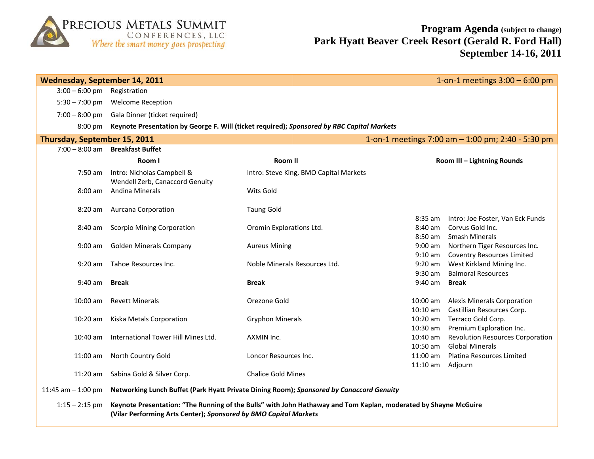

| 1-on-1 meetings $3:00 - 6:00$ pm<br><b>Wednesday, September 14, 2011</b>          |                                                                                                                                                                                     |                                        |                      |                                           |  |  |  |
|-----------------------------------------------------------------------------------|-------------------------------------------------------------------------------------------------------------------------------------------------------------------------------------|----------------------------------------|----------------------|-------------------------------------------|--|--|--|
| $3:00 - 6:00$ pm                                                                  | Registration                                                                                                                                                                        |                                        |                      |                                           |  |  |  |
| $5:30 - 7:00$ pm                                                                  | <b>Welcome Reception</b>                                                                                                                                                            |                                        |                      |                                           |  |  |  |
| $7:00 - 8:00$ pm                                                                  | Gala Dinner (ticket required)                                                                                                                                                       |                                        |                      |                                           |  |  |  |
| $8:00 \text{ pm}$                                                                 | Keynote Presentation by George F. Will (ticket required); Sponsored by RBC Capital Markets                                                                                          |                                        |                      |                                           |  |  |  |
| Thursday, September 15, 2011<br>1-on-1 meetings 7:00 am - 1:00 pm; 2:40 - 5:30 pm |                                                                                                                                                                                     |                                        |                      |                                           |  |  |  |
| $7:00 - 8:00$ am                                                                  | <b>Breakfast Buffet</b>                                                                                                                                                             |                                        |                      |                                           |  |  |  |
|                                                                                   | Room I                                                                                                                                                                              | Room II                                |                      | Room III - Lightning Rounds               |  |  |  |
| 7:50 am                                                                           | Intro: Nicholas Campbell &<br>Wendell Zerb, Canaccord Genuity                                                                                                                       | Intro: Steve King, BMO Capital Markets |                      |                                           |  |  |  |
| 8:00 am                                                                           | <b>Andina Minerals</b>                                                                                                                                                              | Wits Gold                              |                      |                                           |  |  |  |
| 8:20 am                                                                           | <b>Aurcana Corporation</b>                                                                                                                                                          | <b>Taung Gold</b>                      |                      |                                           |  |  |  |
|                                                                                   |                                                                                                                                                                                     |                                        | $8:35$ am            | Intro: Joe Foster, Van Eck Funds          |  |  |  |
| 8:40 am                                                                           | <b>Scorpio Mining Corporation</b>                                                                                                                                                   | Oromin Explorations Ltd.               | 8:40 am              | Corvus Gold Inc.                          |  |  |  |
|                                                                                   |                                                                                                                                                                                     |                                        | 8:50 am              | <b>Smash Minerals</b>                     |  |  |  |
| $9:00$ am                                                                         | <b>Golden Minerals Company</b>                                                                                                                                                      | <b>Aureus Mining</b>                   | $9:00$ am            | Northern Tiger Resources Inc.             |  |  |  |
|                                                                                   |                                                                                                                                                                                     |                                        | $9:10$ am            | <b>Coventry Resources Limited</b>         |  |  |  |
| $9:20$ am                                                                         | Tahoe Resources Inc.                                                                                                                                                                | Noble Minerals Resources Ltd.          | $9:20$ am            | West Kirkland Mining Inc.                 |  |  |  |
| $9:40$ am                                                                         | <b>Break</b>                                                                                                                                                                        | <b>Break</b>                           | $9:30$ am<br>9:40 am | <b>Balmoral Resources</b><br><b>Break</b> |  |  |  |
|                                                                                   |                                                                                                                                                                                     |                                        |                      |                                           |  |  |  |
| $10:00$ am                                                                        | <b>Revett Minerals</b>                                                                                                                                                              | Orezone Gold                           | 10:00 am             | <b>Alexis Minerals Corporation</b>        |  |  |  |
|                                                                                   |                                                                                                                                                                                     |                                        | $10:10$ am           | Castillian Resources Corp.                |  |  |  |
| $10:20$ am                                                                        | Kiska Metals Corporation                                                                                                                                                            | <b>Gryphon Minerals</b>                | $10:20$ am           | Terraco Gold Corp.                        |  |  |  |
|                                                                                   |                                                                                                                                                                                     |                                        | 10:30 am             | Premium Exploration Inc.                  |  |  |  |
| $10:40$ am                                                                        | International Tower Hill Mines Ltd.                                                                                                                                                 | AXMIN Inc.                             | $10:40$ am           | <b>Revolution Resources Corporation</b>   |  |  |  |
|                                                                                   |                                                                                                                                                                                     |                                        | 10:50 am             | <b>Global Minerals</b>                    |  |  |  |
| $11:00$ am                                                                        | North Country Gold                                                                                                                                                                  | Loncor Resources Inc.                  | 11:00 am             | Platina Resources Limited                 |  |  |  |
|                                                                                   |                                                                                                                                                                                     |                                        | $11:10$ am           | Adjourn                                   |  |  |  |
| $11:20$ am                                                                        | Sabina Gold & Silver Corp.                                                                                                                                                          | <b>Chalice Gold Mines</b>              |                      |                                           |  |  |  |
| 11:45 am $-$ 1:00 pm                                                              | Networking Lunch Buffet (Park Hyatt Private Dining Room); Sponsored by Canaccord Genuity                                                                                            |                                        |                      |                                           |  |  |  |
| $1:15 - 2:15$ pm                                                                  | Keynote Presentation: "The Running of the Bulls" with John Hathaway and Tom Kaplan, moderated by Shayne McGuire<br>(Vilar Performing Arts Center); Sponsored by BMO Capital Markets |                                        |                      |                                           |  |  |  |